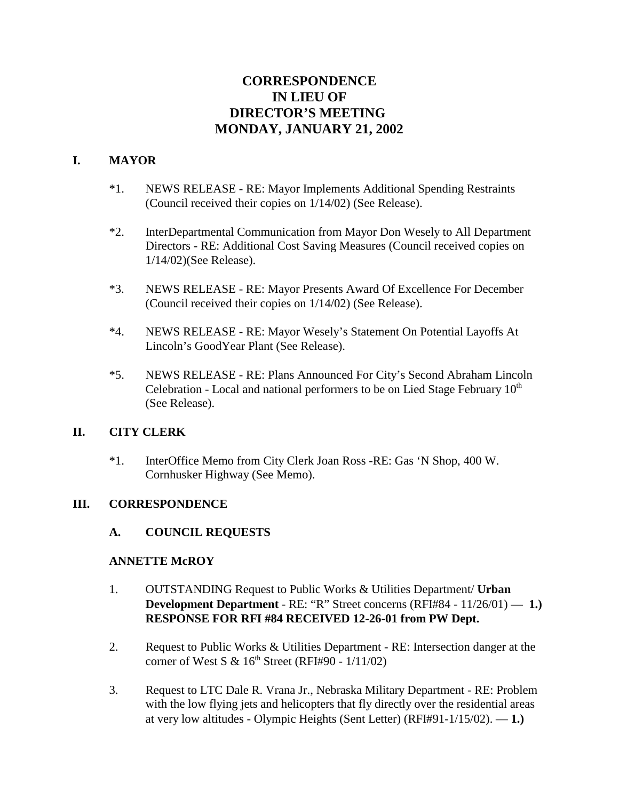# **CORRESPONDENCE IN LIEU OF DIRECTOR'S MEETING MONDAY, JANUARY 21, 2002**

# **I. MAYOR**

- \*1. NEWS RELEASE RE: Mayor Implements Additional Spending Restraints (Council received their copies on 1/14/02) (See Release).
- \*2. InterDepartmental Communication from Mayor Don Wesely to All Department Directors - RE: Additional Cost Saving Measures (Council received copies on 1/14/02)(See Release).
- \*3. NEWS RELEASE RE: Mayor Presents Award Of Excellence For December (Council received their copies on 1/14/02) (See Release).
- \*4. NEWS RELEASE RE: Mayor Wesely's Statement On Potential Layoffs At Lincoln's GoodYear Plant (See Release).
- \*5. NEWS RELEASE RE: Plans Announced For City's Second Abraham Lincoln Celebration - Local and national performers to be on Lied Stage February  $10<sup>th</sup>$ (See Release).

# **II. CITY CLERK**

\*1. InterOffice Memo from City Clerk Joan Ross -RE: Gas 'N Shop, 400 W. Cornhusker Highway (See Memo).

# **III. CORRESPONDENCE**

# **A. COUNCIL REQUESTS**

#### **ANNETTE McROY**

- 1. OUTSTANDING Request to Public Works & Utilities Department/ **Urban Development Department** - RE: "R" Street concerns (RFI#84 - 11/26/01) **— 1.) RESPONSE FOR RFI #84 RECEIVED 12-26-01 from PW Dept.**
- 2. Request to Public Works & Utilities Department RE: Intersection danger at the corner of West S &  $16<sup>th</sup>$  Street (RFI#90 -  $1/11/02$ )
- 3. Request to LTC Dale R. Vrana Jr., Nebraska Military Department RE: Problem with the low flying jets and helicopters that fly directly over the residential areas at very low altitudes - Olympic Heights (Sent Letter) (RFI#91-1/15/02). — **1.)**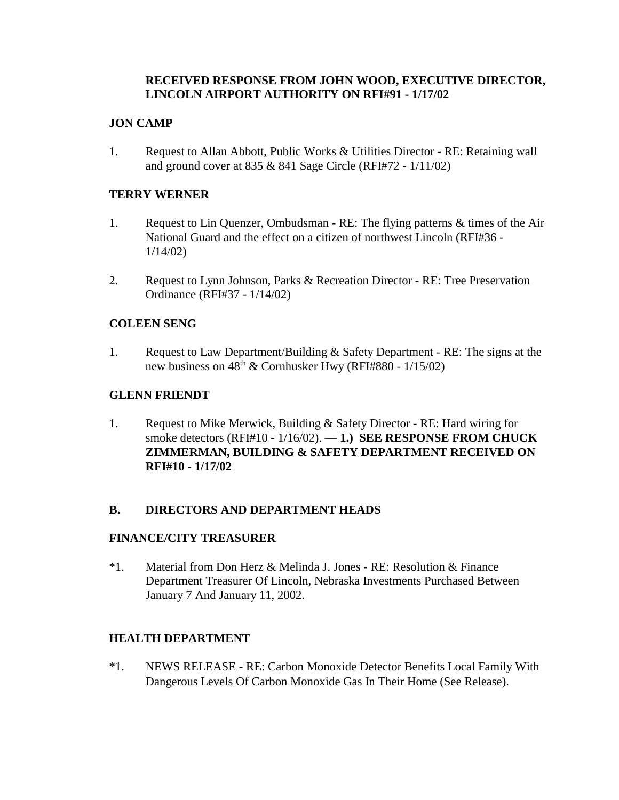# **RECEIVED RESPONSE FROM JOHN WOOD, EXECUTIVE DIRECTOR, LINCOLN AIRPORT AUTHORITY ON RFI#91 - 1/17/02**

### **JON CAMP**

1. Request to Allan Abbott, Public Works & Utilities Director - RE: Retaining wall and ground cover at 835 & 841 Sage Circle (RFI#72 - 1/11/02)

### **TERRY WERNER**

- 1. Request to Lin Quenzer, Ombudsman RE: The flying patterns & times of the Air National Guard and the effect on a citizen of northwest Lincoln (RFI#36 - 1/14/02)
- 2. Request to Lynn Johnson, Parks & Recreation Director RE: Tree Preservation Ordinance (RFI#37 - 1/14/02)

#### **COLEEN SENG**

1. Request to Law Department/Building & Safety Department - RE: The signs at the new business on  $48^{th}$  & Cornhusker Hwy (RFI#880 - 1/15/02)

#### **GLENN FRIENDT**

1. Request to Mike Merwick, Building & Safety Director - RE: Hard wiring for smoke detectors (RFI#10 - 1/16/02). — **1.) SEE RESPONSE FROM CHUCK ZIMMERMAN, BUILDING & SAFETY DEPARTMENT RECEIVED ON RFI#10 - 1/17/02**

# **B. DIRECTORS AND DEPARTMENT HEADS**

#### **FINANCE/CITY TREASURER**

\*1. Material from Don Herz & Melinda J. Jones - RE: Resolution & Finance Department Treasurer Of Lincoln, Nebraska Investments Purchased Between January 7 And January 11, 2002.

#### **HEALTH DEPARTMENT**

\*1. NEWS RELEASE - RE: Carbon Monoxide Detector Benefits Local Family With Dangerous Levels Of Carbon Monoxide Gas In Their Home (See Release).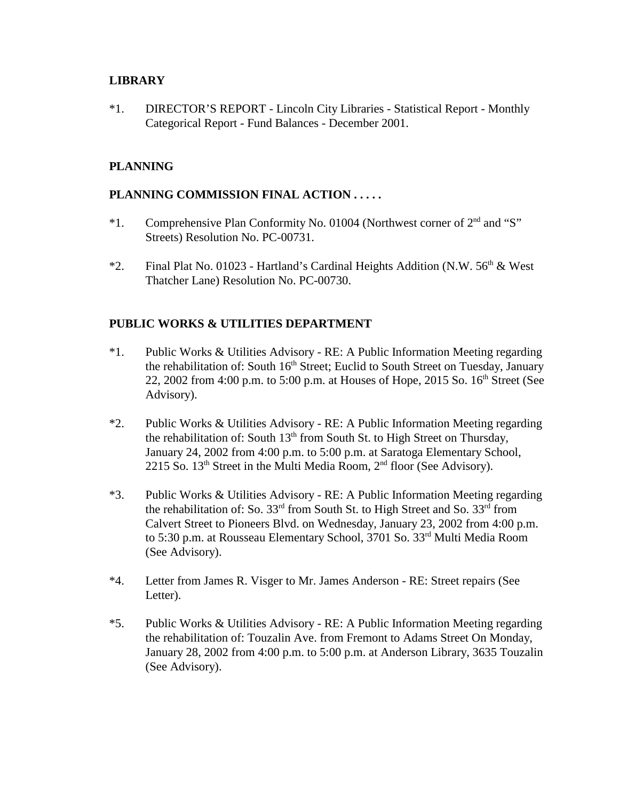#### **LIBRARY**

\*1. DIRECTOR'S REPORT - Lincoln City Libraries - Statistical Report - Monthly Categorical Report - Fund Balances - December 2001.

# **PLANNING**

### **PLANNING COMMISSION FINAL ACTION . . . . .**

- \*1. Comprehensive Plan Conformity No. 01004 (Northwest corner of 2nd and "S" Streets) Resolution No. PC-00731.
- \*2. Final Plat No. 01023 Hartland's Cardinal Heights Addition (N.W.  $56<sup>th</sup>$  & West Thatcher Lane) Resolution No. PC-00730.

#### **PUBLIC WORKS & UTILITIES DEPARTMENT**

- \*1. Public Works & Utilities Advisory RE: A Public Information Meeting regarding the rehabilitation of: South 16<sup>th</sup> Street; Euclid to South Street on Tuesday, January 22, 2002 from 4:00 p.m. to 5:00 p.m. at Houses of Hope, 2015 So.  $16<sup>th</sup>$  Street (See Advisory).
- \*2. Public Works & Utilities Advisory RE: A Public Information Meeting regarding the rehabilitation of: South  $13<sup>th</sup>$  from South St. to High Street on Thursday, January 24, 2002 from 4:00 p.m. to 5:00 p.m. at Saratoga Elementary School, 2215 So.  $13<sup>th</sup>$  Street in the Multi Media Room,  $2<sup>nd</sup>$  floor (See Advisory).
- \*3. Public Works & Utilities Advisory RE: A Public Information Meeting regarding the rehabilitation of: So.  $33<sup>rd</sup>$  from South St. to High Street and So.  $33<sup>rd</sup>$  from Calvert Street to Pioneers Blvd. on Wednesday, January 23, 2002 from 4:00 p.m. to 5:30 p.m. at Rousseau Elementary School, 3701 So. 33<sup>rd</sup> Multi Media Room (See Advisory).
- \*4. Letter from James R. Visger to Mr. James Anderson RE: Street repairs (See Letter).
- \*5. Public Works & Utilities Advisory RE: A Public Information Meeting regarding the rehabilitation of: Touzalin Ave. from Fremont to Adams Street On Monday, January 28, 2002 from 4:00 p.m. to 5:00 p.m. at Anderson Library, 3635 Touzalin (See Advisory).